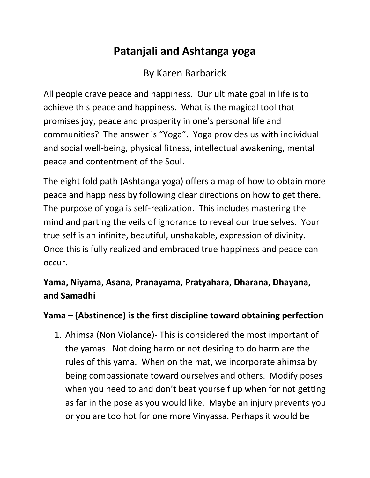## **Patanjali and Ashtanga yoga**

By Karen Barbarick

All people crave peace and happiness. Our ultimate goal in life is to achieve this peace and happiness. What is the magical tool that promises joy, peace and prosperity in one's personal life and communities? The answer is "Yoga". Yoga provides us with individual and social well-being, physical fitness, intellectual awakening, mental peace and contentment of the Soul.

The eight fold path (Ashtanga yoga) offers a map of how to obtain more peace and happiness by following clear directions on how to get there. The purpose of yoga is self-realization. This includes mastering the mind and parting the veils of ignorance to reveal our true selves. Your true self is an infinite, beautiful, unshakable, expression of divinity. Once this is fully realized and embraced true happiness and peace can occur.

**Yama, Niyama, Asana, Pranayama, Pratyahara, Dharana, Dhayana, and Samadhi**

## **Yama – (Abstinence) is the first discipline toward obtaining perfection**

1. Ahimsa (Non Violance)- This is considered the most important of the yamas. Not doing harm or not desiring to do harm are the rules of this yama. When on the mat, we incorporate ahimsa by being compassionate toward ourselves and others. Modify poses when you need to and don't beat yourself up when for not getting as far in the pose as you would like. Maybe an injury prevents you or you are too hot for one more Vinyassa. Perhaps it would be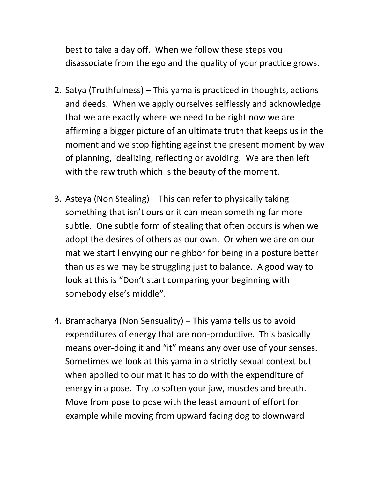best to take a day off. When we follow these steps you disassociate from the ego and the quality of your practice grows.

- 2. Satya (Truthfulness) This yama is practiced in thoughts, actions and deeds. When we apply ourselves selflessly and acknowledge that we are exactly where we need to be right now we are affirming a bigger picture of an ultimate truth that keeps us in the moment and we stop fighting against the present moment by way of planning, idealizing, reflecting or avoiding. We are then left with the raw truth which is the beauty of the moment.
- 3. Asteya (Non Stealing) This can refer to physically taking something that isn't ours or it can mean something far more subtle. One subtle form of stealing that often occurs is when we adopt the desires of others as our own. Or when we are on our mat we start l envying our neighbor for being in a posture better than us as we may be struggling just to balance. A good way to look at this is "Don't start comparing your beginning with somebody else's middle".
- 4. Bramacharya (Non Sensuality) This yama tells us to avoid expenditures of energy that are non-productive. This basically means over-doing it and "it" means any over use of your senses. Sometimes we look at this yama in a strictly sexual context but when applied to our mat it has to do with the expenditure of energy in a pose. Try to soften your jaw, muscles and breath. Move from pose to pose with the least amount of effort for example while moving from upward facing dog to downward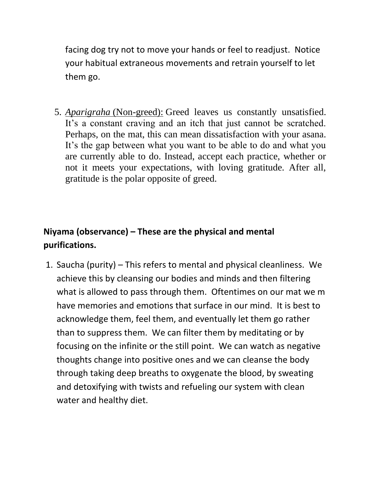facing dog try not to move your hands or feel to readjust. Notice your habitual extraneous movements and retrain yourself to let them go.

5. *Aparigraha* (Non-greed): Greed leaves us constantly unsatisfied. It's a constant craving and an itch that just cannot be scratched. Perhaps, on the mat, this can mean dissatisfaction with your asana. It's the gap between what you want to be able to do and what you are currently able to do. Instead, accept each practice, whether or not it meets your expectations, with loving gratitude. After all, gratitude is the polar opposite of greed.

## **Niyama (observance) – These are the physical and mental purifications.**

1. Saucha (purity) – This refers to mental and physical cleanliness. We achieve this by cleansing our bodies and minds and then filtering what is allowed to pass through them. Oftentimes on our mat we m have memories and emotions that surface in our mind. It is best to acknowledge them, feel them, and eventually let them go rather than to suppress them. We can filter them by meditating or by focusing on the infinite or the still point. We can watch as negative thoughts change into positive ones and we can cleanse the body through taking deep breaths to oxygenate the blood, by sweating and detoxifying with twists and refueling our system with clean water and healthy diet.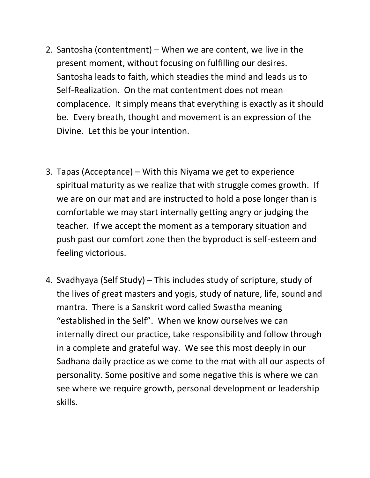- 2. Santosha (contentment) When we are content, we live in the present moment, without focusing on fulfilling our desires. Santosha leads to faith, which steadies the mind and leads us to Self-Realization. On the mat contentment does not mean complacence. It simply means that everything is exactly as it should be. Every breath, thought and movement is an expression of the Divine. Let this be your intention.
- 3. Tapas (Acceptance) With this Niyama we get to experience spiritual maturity as we realize that with struggle comes growth. If we are on our mat and are instructed to hold a pose longer than is comfortable we may start internally getting angry or judging the teacher. If we accept the moment as a temporary situation and push past our comfort zone then the byproduct is self-esteem and feeling victorious.
- 4. Svadhyaya (Self Study) This includes study of scripture, study of the lives of great masters and yogis, study of nature, life, sound and mantra. There is a Sanskrit word called Swastha meaning "established in the Self". When we know ourselves we can internally direct our practice, take responsibility and follow through in a complete and grateful way. We see this most deeply in our Sadhana daily practice as we come to the mat with all our aspects of personality. Some positive and some negative this is where we can see where we require growth, personal development or leadership skills.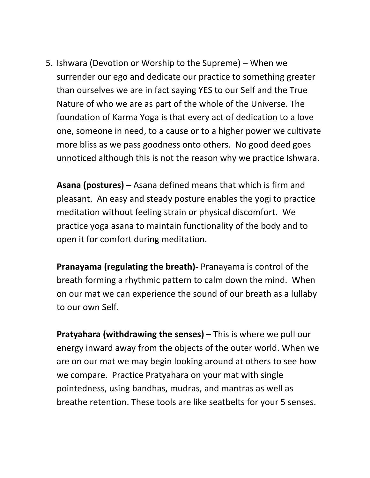5. Ishwara (Devotion or Worship to the Supreme) – When we surrender our ego and dedicate our practice to something greater than ourselves we are in fact saying YES to our Self and the True Nature of who we are as part of the whole of the Universe. The foundation of Karma Yoga is that every act of dedication to a love one, someone in need, to a cause or to a higher power we cultivate more bliss as we pass goodness onto others. No good deed goes unnoticed although this is not the reason why we practice Ishwara.

**Asana (postures) –** Asana defined means that which is firm and pleasant. An easy and steady posture enables the yogi to practice meditation without feeling strain or physical discomfort. We practice yoga asana to maintain functionality of the body and to open it for comfort during meditation.

**Pranayama (regulating the breath)-** Pranayama is control of the breath forming a rhythmic pattern to calm down the mind. When on our mat we can experience the sound of our breath as a lullaby to our own Self.

**Pratyahara (withdrawing the senses) –** This is where we pull our energy inward away from the objects of the outer world. When we are on our mat we may begin looking around at others to see how we compare. Practice Pratyahara on your mat with single pointedness, using bandhas, mudras, and mantras as well as breathe retention. These tools are like seatbelts for your 5 senses.